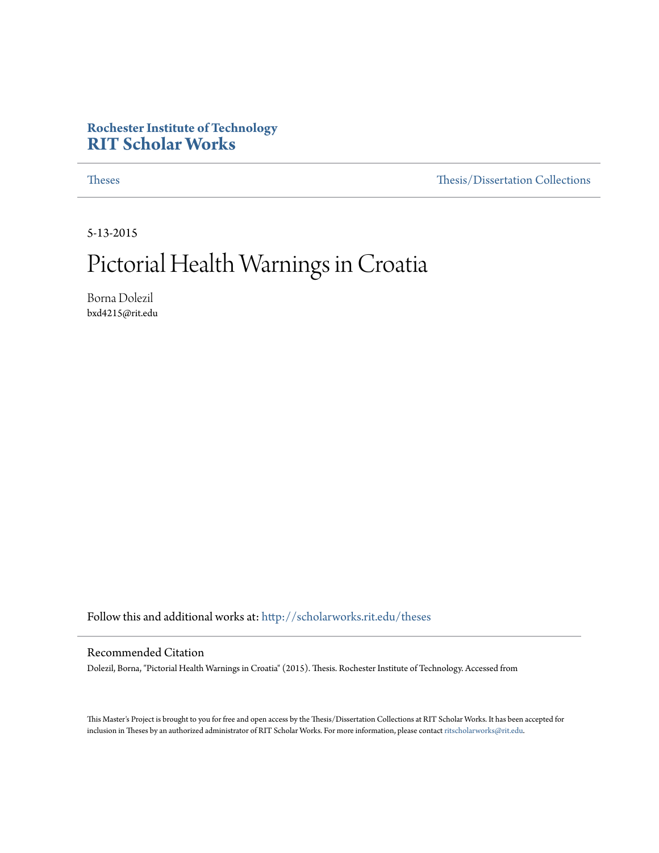#### **Rochester Institute of Technology [RIT Scholar Works](http://scholarworks.rit.edu?utm_source=scholarworks.rit.edu%2Ftheses%2F9376&utm_medium=PDF&utm_campaign=PDFCoverPages)**

[Theses](http://scholarworks.rit.edu/theses?utm_source=scholarworks.rit.edu%2Ftheses%2F9376&utm_medium=PDF&utm_campaign=PDFCoverPages) [Thesis/Dissertation Collections](http://scholarworks.rit.edu/etd_collections?utm_source=scholarworks.rit.edu%2Ftheses%2F9376&utm_medium=PDF&utm_campaign=PDFCoverPages)

5-13-2015

## Pictorial Health Warnings in Croatia

Borna Dolezil bxd4215@rit.edu

Follow this and additional works at: [http://scholarworks.rit.edu/theses](http://scholarworks.rit.edu/theses?utm_source=scholarworks.rit.edu%2Ftheses%2F9376&utm_medium=PDF&utm_campaign=PDFCoverPages)

#### Recommended Citation

Dolezil, Borna, "Pictorial Health Warnings in Croatia" (2015). Thesis. Rochester Institute of Technology. Accessed from

This Master's Project is brought to you for free and open access by the Thesis/Dissertation Collections at RIT Scholar Works. It has been accepted for inclusion in Theses by an authorized administrator of RIT Scholar Works. For more information, please contact [ritscholarworks@rit.edu](mailto:ritscholarworks@rit.edu).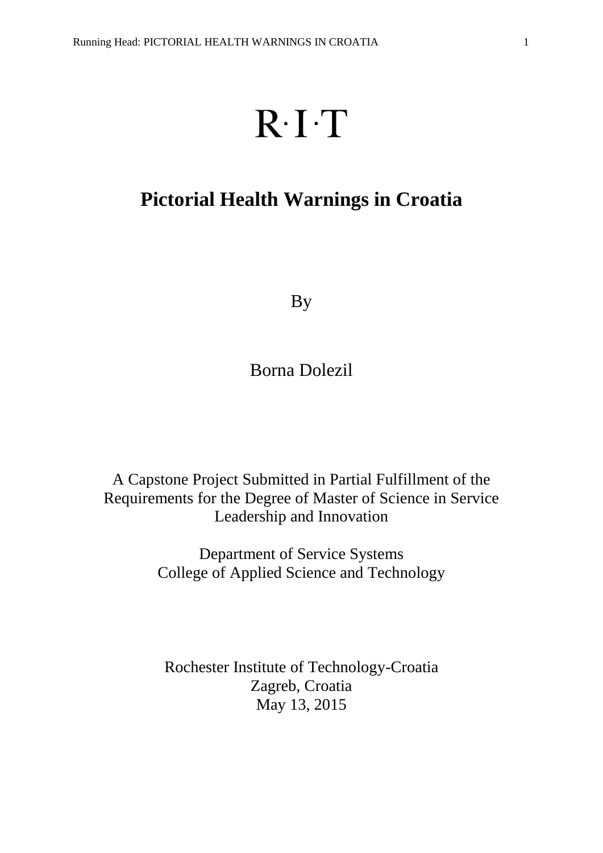# $R \cdot I \cdot T$

## **Pictorial Health Warnings in Croatia**

By

Borna Dolezil

A Capstone Project Submitted in Partial Fulfillment of the Requirements for the Degree of Master of Science in Service Leadership and Innovation

> Department of Service Systems College of Applied Science and Technology

Rochester Institute of Technology-Croatia Zagreb, Croatia May 13, 2015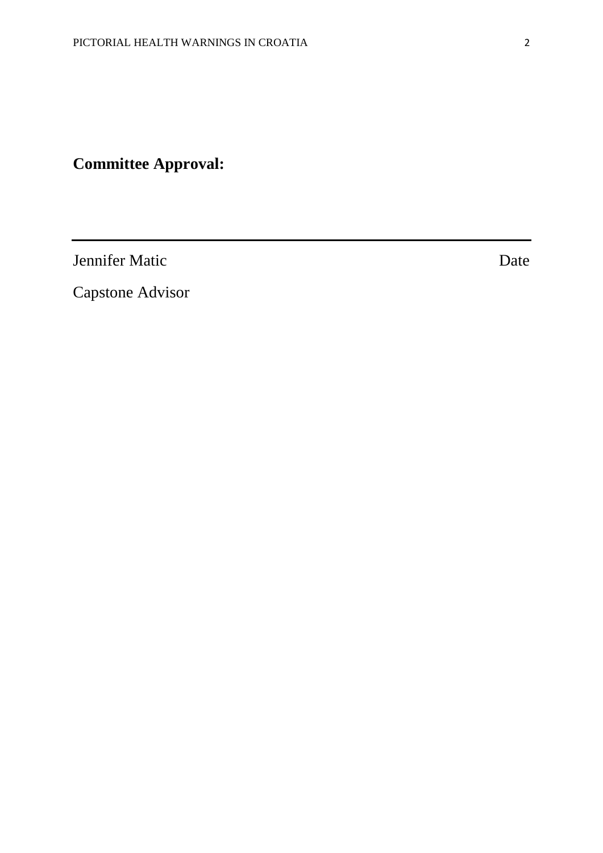## **Committee Approval:**

Jennifer Matic Date

Capstone Advisor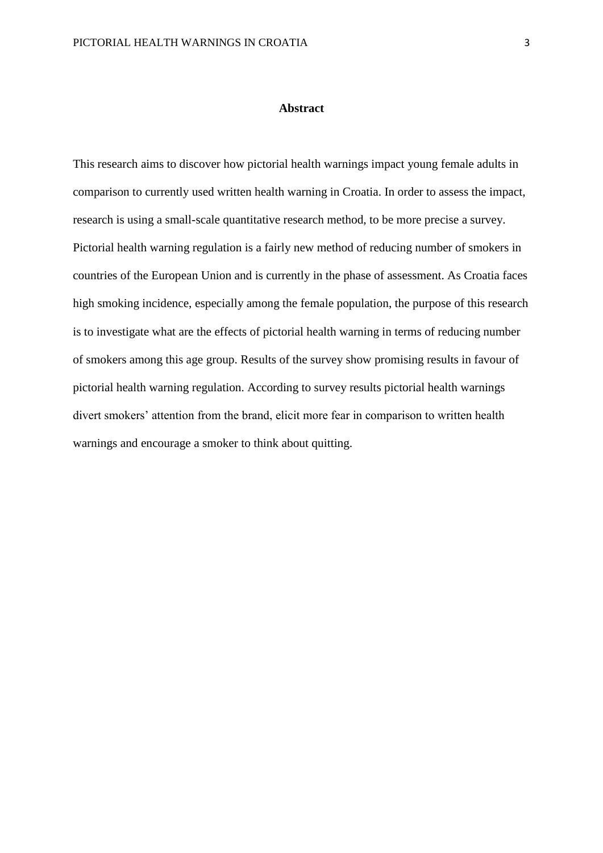#### **Abstract**

This research aims to discover how pictorial health warnings impact young female adults in comparison to currently used written health warning in Croatia. In order to assess the impact, research is using a small-scale quantitative research method, to be more precise a survey. Pictorial health warning regulation is a fairly new method of reducing number of smokers in countries of the European Union and is currently in the phase of assessment. As Croatia faces high smoking incidence, especially among the female population, the purpose of this research is to investigate what are the effects of pictorial health warning in terms of reducing number of smokers among this age group. Results of the survey show promising results in favour of pictorial health warning regulation. According to survey results pictorial health warnings divert smokers' attention from the brand, elicit more fear in comparison to written health warnings and encourage a smoker to think about quitting.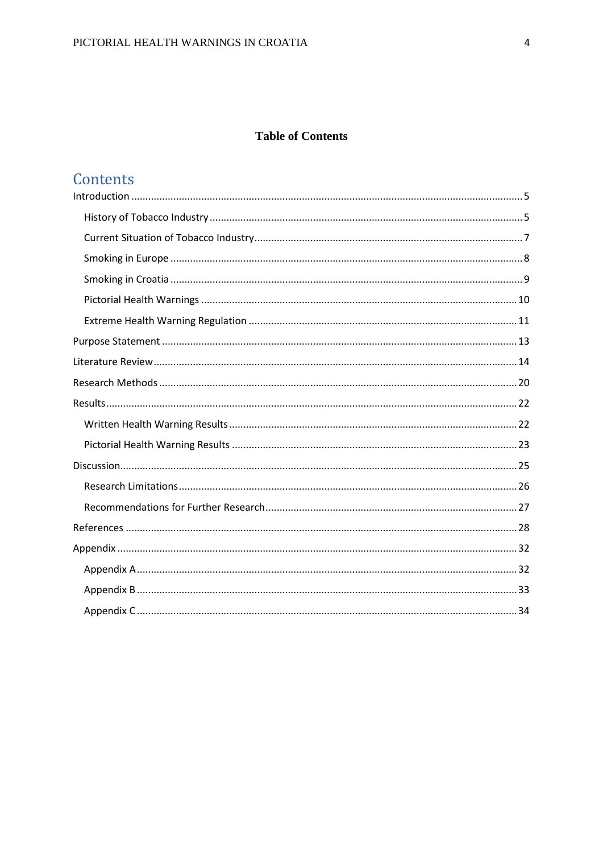#### **Table of Contents**

## Contents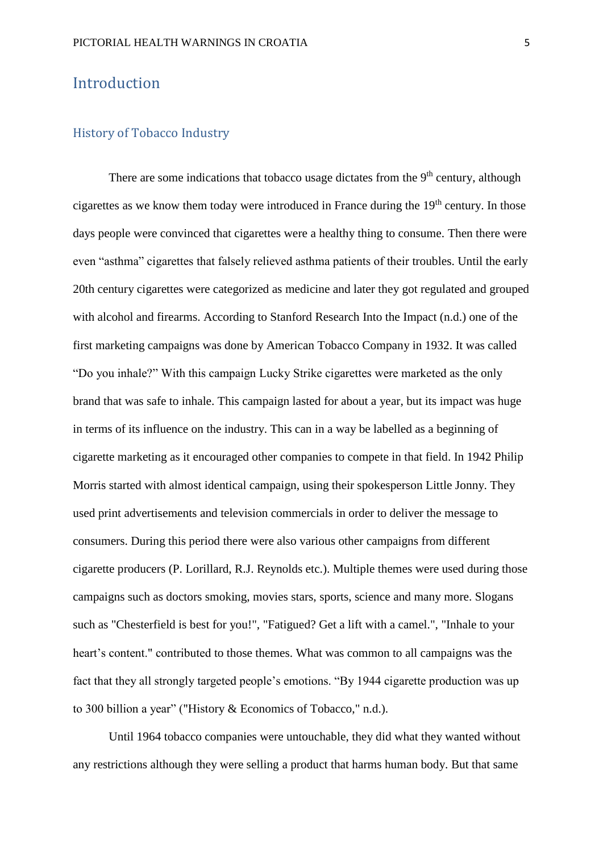#### <span id="page-5-0"></span>Introduction

#### <span id="page-5-1"></span>History of Tobacco Industry

There are some indications that tobacco usage dictates from the  $9<sup>th</sup>$  century, although cigarettes as we know them today were introduced in France during the  $19<sup>th</sup>$  century. In those days people were convinced that cigarettes were a healthy thing to consume. Then there were even "asthma" cigarettes that falsely relieved asthma patients of their troubles. Until the early 20th century cigarettes were categorized as medicine and later they got regulated and grouped with alcohol and firearms. According to Stanford Research Into the Impact (n.d.) one of the first marketing campaigns was done by American Tobacco Company in 1932. It was called "Do you inhale?" With this campaign Lucky Strike cigarettes were marketed as the only brand that was safe to inhale. This campaign lasted for about a year, but its impact was huge in terms of its influence on the industry. This can in a way be labelled as a beginning of cigarette marketing as it encouraged other companies to compete in that field. In 1942 Philip Morris started with almost identical campaign, using their spokesperson Little Jonny. They used print advertisements and television commercials in order to deliver the message to consumers. During this period there were also various other campaigns from different cigarette producers (P. Lorillard, R.J. Reynolds etc.). Multiple themes were used during those campaigns such as doctors smoking, movies stars, sports, science and many more. Slogans such as "Chesterfield is best for you!", "Fatigued? Get a lift with a camel.", "Inhale to your heart's content." contributed to those themes. What was common to all campaigns was the fact that they all strongly targeted people's emotions. "By 1944 cigarette production was up to 300 billion a year" ("History & Economics of Tobacco," n.d.).

Until 1964 tobacco companies were untouchable, they did what they wanted without any restrictions although they were selling a product that harms human body. But that same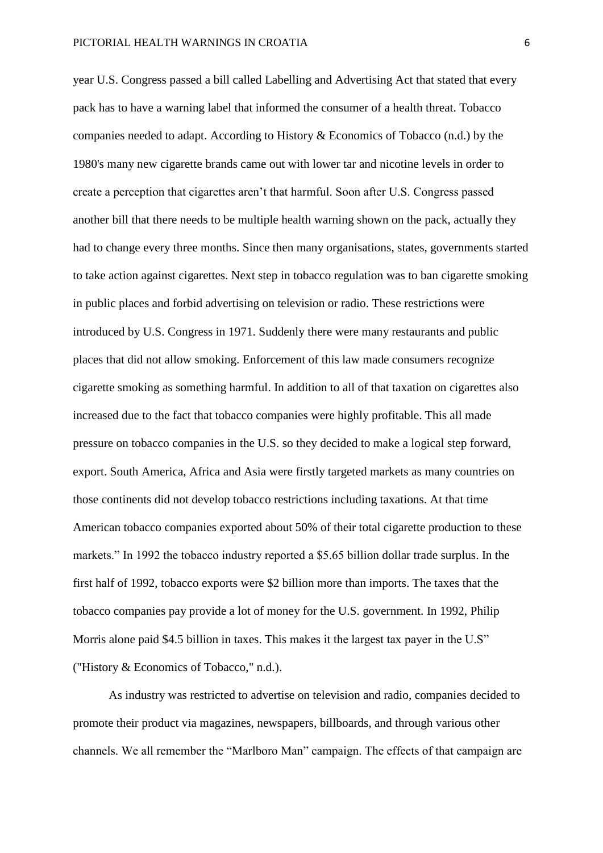year U.S. Congress passed a bill called Labelling and Advertising Act that stated that every pack has to have a warning label that informed the consumer of a health threat. Tobacco companies needed to adapt. According to History & Economics of Tobacco (n.d.) by the 1980's many new cigarette brands came out with lower tar and nicotine levels in order to create a perception that cigarettes aren't that harmful. Soon after U.S. Congress passed another bill that there needs to be multiple health warning shown on the pack, actually they had to change every three months. Since then many organisations, states, governments started to take action against cigarettes. Next step in tobacco regulation was to ban cigarette smoking in public places and forbid advertising on television or radio. These restrictions were introduced by U.S. Congress in 1971. Suddenly there were many restaurants and public places that did not allow smoking. Enforcement of this law made consumers recognize cigarette smoking as something harmful. In addition to all of that taxation on cigarettes also increased due to the fact that tobacco companies were highly profitable. This all made pressure on tobacco companies in the U.S. so they decided to make a logical step forward, export. South America, Africa and Asia were firstly targeted markets as many countries on those continents did not develop tobacco restrictions including taxations. At that time American tobacco companies exported about 50% of their total cigarette production to these markets." In 1992 the tobacco industry reported a \$5.65 billion dollar trade surplus. In the first half of 1992, tobacco exports were \$2 billion more than imports. The taxes that the tobacco companies pay provide a lot of money for the U.S. government. In 1992, Philip Morris alone paid \$4.5 billion in taxes. This makes it the largest tax payer in the U.S" ("History & Economics of Tobacco," n.d.).

As industry was restricted to advertise on television and radio, companies decided to promote their product via magazines, newspapers, billboards, and through various other channels. We all remember the "Marlboro Man" campaign. The effects of that campaign are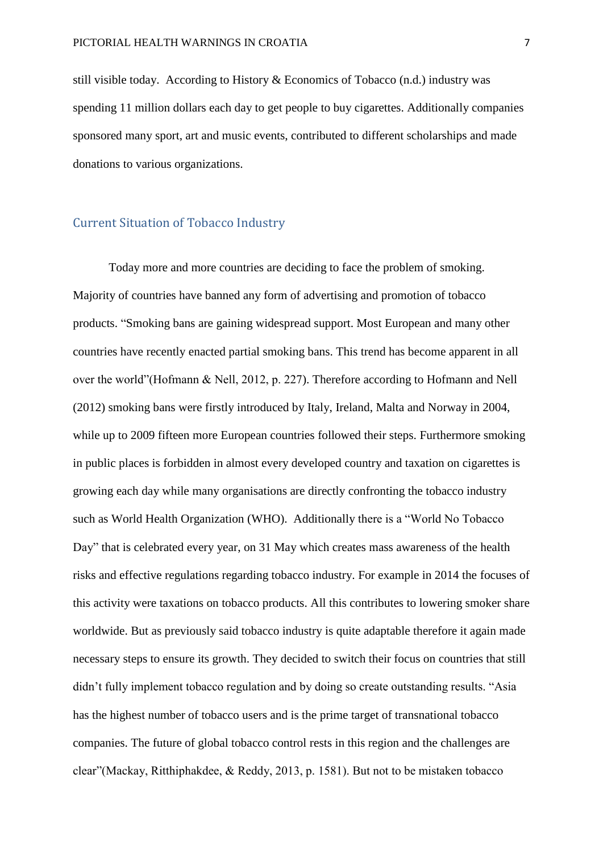still visible today. According to History & Economics of Tobacco (n.d.) industry was spending 11 million dollars each day to get people to buy cigarettes. Additionally companies sponsored many sport, art and music events, contributed to different scholarships and made donations to various organizations.

#### <span id="page-7-0"></span>Current Situation of Tobacco Industry

Today more and more countries are deciding to face the problem of smoking. Majority of countries have banned any form of advertising and promotion of tobacco products. "Smoking bans are gaining widespread support. Most European and many other countries have recently enacted partial smoking bans. This trend has become apparent in all over the world"(Hofmann & Nell, 2012, p. 227). Therefore according to Hofmann and Nell (2012) smoking bans were firstly introduced by Italy, Ireland, Malta and Norway in 2004, while up to 2009 fifteen more European countries followed their steps. Furthermore smoking in public places is forbidden in almost every developed country and taxation on cigarettes is growing each day while many organisations are directly confronting the tobacco industry such as World Health Organization (WHO). Additionally there is a "World No Tobacco Day" that is celebrated every year, on 31 May which creates mass awareness of the health risks and effective regulations regarding tobacco industry. For example in 2014 the focuses of this activity were taxations on tobacco products. All this contributes to lowering smoker share worldwide. But as previously said tobacco industry is quite adaptable therefore it again made necessary steps to ensure its growth. They decided to switch their focus on countries that still didn't fully implement tobacco regulation and by doing so create outstanding results. "Asia has the highest number of tobacco users and is the prime target of transnational tobacco companies. The future of global tobacco control rests in this region and the challenges are clear"(Mackay, Ritthiphakdee, & Reddy, 2013, p. 1581). But not to be mistaken tobacco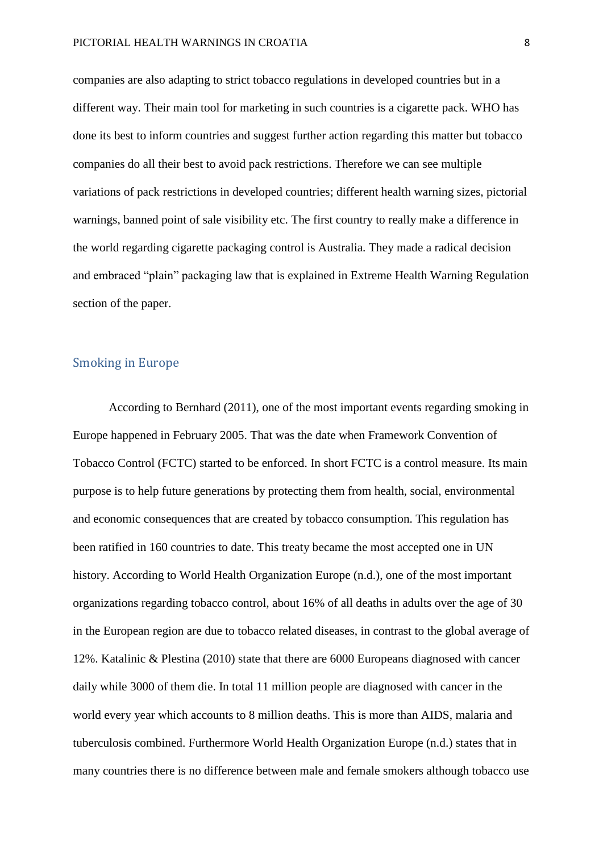companies are also adapting to strict tobacco regulations in developed countries but in a different way. Their main tool for marketing in such countries is a cigarette pack. WHO has done its best to inform countries and suggest further action regarding this matter but tobacco companies do all their best to avoid pack restrictions. Therefore we can see multiple variations of pack restrictions in developed countries; different health warning sizes, pictorial warnings, banned point of sale visibility etc. The first country to really make a difference in the world regarding cigarette packaging control is Australia. They made a radical decision and embraced "plain" packaging law that is explained in Extreme Health Warning Regulation section of the paper.

#### <span id="page-8-0"></span>Smoking in Europe

According to Bernhard (2011), one of the most important events regarding smoking in Europe happened in February 2005. That was the date when Framework Convention of Tobacco Control (FCTC) started to be enforced. In short FCTC is a control measure. Its main purpose is to help future generations by protecting them from health, social, environmental and economic consequences that are created by tobacco consumption. This regulation has been ratified in 160 countries to date. This treaty became the most accepted one in UN history. According to World Health Organization Europe (n.d.), one of the most important organizations regarding tobacco control, about 16% of all deaths in adults over the age of 30 in the European region are due to tobacco related diseases, in contrast to the global average of 12%. Katalinic & Plestina (2010) state that there are 6000 Europeans diagnosed with cancer daily while 3000 of them die. In total 11 million people are diagnosed with cancer in the world every year which accounts to 8 million deaths. This is more than AIDS, malaria and tuberculosis combined. Furthermore World Health Organization Europe (n.d.) states that in many countries there is no difference between male and female smokers although tobacco use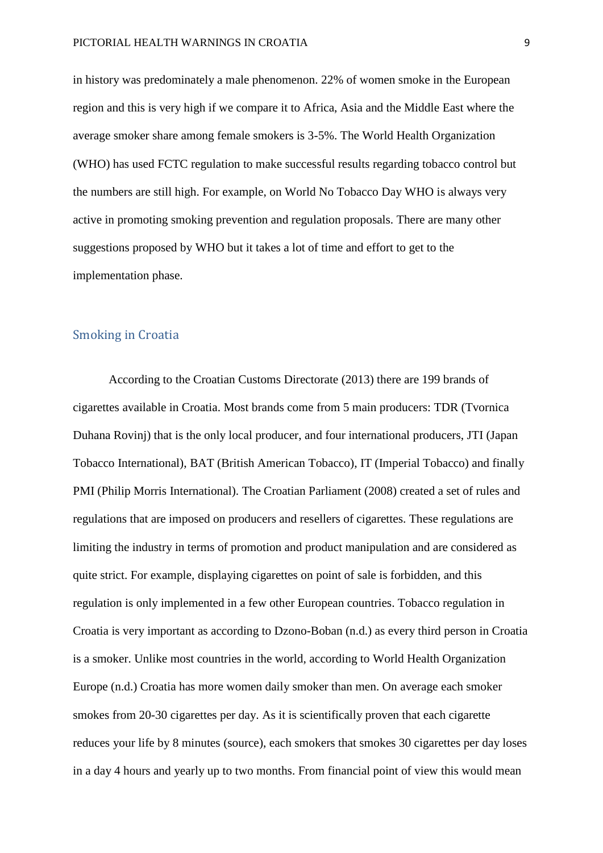in history was predominately a male phenomenon. 22% of women smoke in the European region and this is very high if we compare it to Africa, Asia and the Middle East where the average smoker share among female smokers is 3-5%. The World Health Organization (WHO) has used FCTC regulation to make successful results regarding tobacco control but the numbers are still high. For example, on World No Tobacco Day WHO is always very active in promoting smoking prevention and regulation proposals. There are many other suggestions proposed by WHO but it takes a lot of time and effort to get to the implementation phase.

#### <span id="page-9-0"></span>Smoking in Croatia

According to the Croatian Customs Directorate (2013) there are 199 brands of cigarettes available in Croatia. Most brands come from 5 main producers: TDR (Tvornica Duhana Rovinj) that is the only local producer, and four international producers, JTI (Japan Tobacco International), BAT (British American Tobacco), IT (Imperial Tobacco) and finally PMI (Philip Morris International). The Croatian Parliament (2008) created a set of rules and regulations that are imposed on producers and resellers of cigarettes. These regulations are limiting the industry in terms of promotion and product manipulation and are considered as quite strict. For example, displaying cigarettes on point of sale is forbidden, and this regulation is only implemented in a few other European countries. Tobacco regulation in Croatia is very important as according to Dzono-Boban (n.d.) as every third person in Croatia is a smoker. Unlike most countries in the world, according to World Health Organization Europe (n.d.) Croatia has more women daily smoker than men. On average each smoker smokes from 20-30 cigarettes per day. As it is scientifically proven that each cigarette reduces your life by 8 minutes (source), each smokers that smokes 30 cigarettes per day loses in a day 4 hours and yearly up to two months. From financial point of view this would mean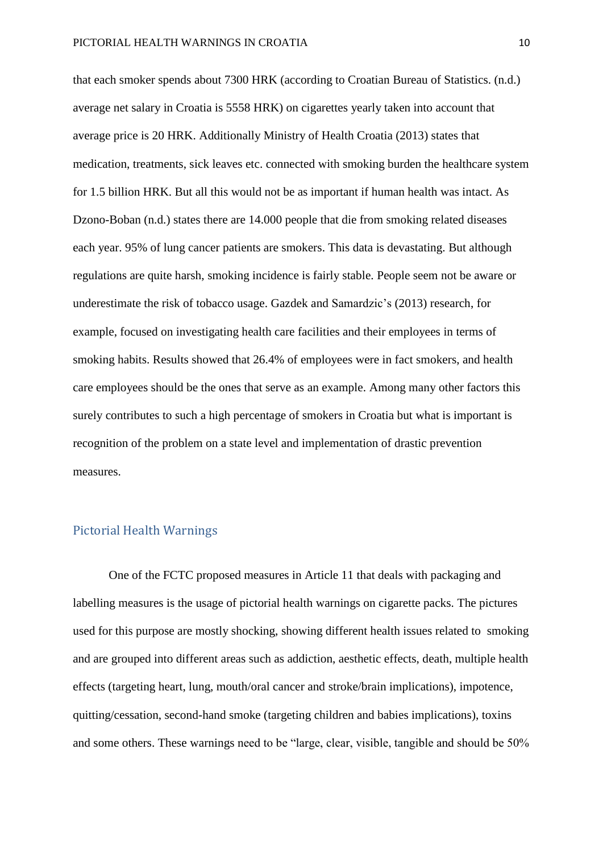that each smoker spends about 7300 HRK (according to Croatian Bureau of Statistics. (n.d.) average net salary in Croatia is 5558 HRK) on cigarettes yearly taken into account that average price is 20 HRK. Additionally Ministry of Health Croatia (2013) states that medication, treatments, sick leaves etc. connected with smoking burden the healthcare system for 1.5 billion HRK. But all this would not be as important if human health was intact. As Dzono-Boban (n.d.) states there are 14.000 people that die from smoking related diseases each year. 95% of lung cancer patients are smokers. This data is devastating. But although regulations are quite harsh, smoking incidence is fairly stable. People seem not be aware or underestimate the risk of tobacco usage. Gazdek and Samardzic's (2013) research, for example, focused on investigating health care facilities and their employees in terms of smoking habits. Results showed that 26.4% of employees were in fact smokers, and health care employees should be the ones that serve as an example. Among many other factors this surely contributes to such a high percentage of smokers in Croatia but what is important is recognition of the problem on a state level and implementation of drastic prevention measures.

#### <span id="page-10-0"></span>Pictorial Health Warnings

One of the FCTC proposed measures in Article 11 that deals with packaging and labelling measures is the usage of pictorial health warnings on cigarette packs. The pictures used for this purpose are mostly shocking, showing different health issues related to smoking and are grouped into different areas such as addiction, aesthetic effects, death, multiple health effects (targeting heart, lung, mouth/oral cancer and stroke/brain implications), impotence, quitting/cessation, second-hand smoke (targeting children and babies implications), toxins and some others. These warnings need to be "large, clear, visible, tangible and should be 50%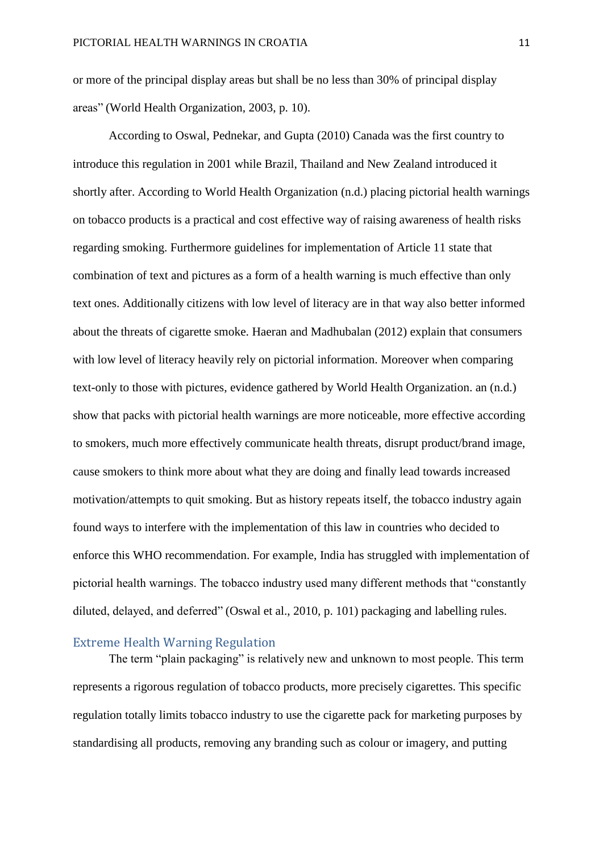or more of the principal display areas but shall be no less than 30% of principal display areas" (World Health Organization, 2003, p. 10).

According to Oswal, Pednekar, and Gupta (2010) Canada was the first country to introduce this regulation in 2001 while Brazil, Thailand and New Zealand introduced it shortly after. According to World Health Organization (n.d.) placing pictorial health warnings on tobacco products is a practical and cost effective way of raising awareness of health risks regarding smoking. Furthermore guidelines for implementation of Article 11 state that combination of text and pictures as a form of a health warning is much effective than only text ones. Additionally citizens with low level of literacy are in that way also better informed about the threats of cigarette smoke. Haeran and Madhubalan (2012) explain that consumers with low level of literacy heavily rely on pictorial information. Moreover when comparing text-only to those with pictures, evidence gathered by World Health Organization. an (n.d.) show that packs with pictorial health warnings are more noticeable, more effective according to smokers, much more effectively communicate health threats, disrupt product/brand image, cause smokers to think more about what they are doing and finally lead towards increased motivation/attempts to quit smoking. But as history repeats itself, the tobacco industry again found ways to interfere with the implementation of this law in countries who decided to enforce this WHO recommendation. For example, India has struggled with implementation of pictorial health warnings. The tobacco industry used many different methods that "constantly diluted, delayed, and deferred" (Oswal et al., 2010, p. 101) packaging and labelling rules.

#### <span id="page-11-0"></span>Extreme Health Warning Regulation

The term "plain packaging" is relatively new and unknown to most people. This term represents a rigorous regulation of tobacco products, more precisely cigarettes. This specific regulation totally limits tobacco industry to use the cigarette pack for marketing purposes by standardising all products, removing any branding such as colour or imagery, and putting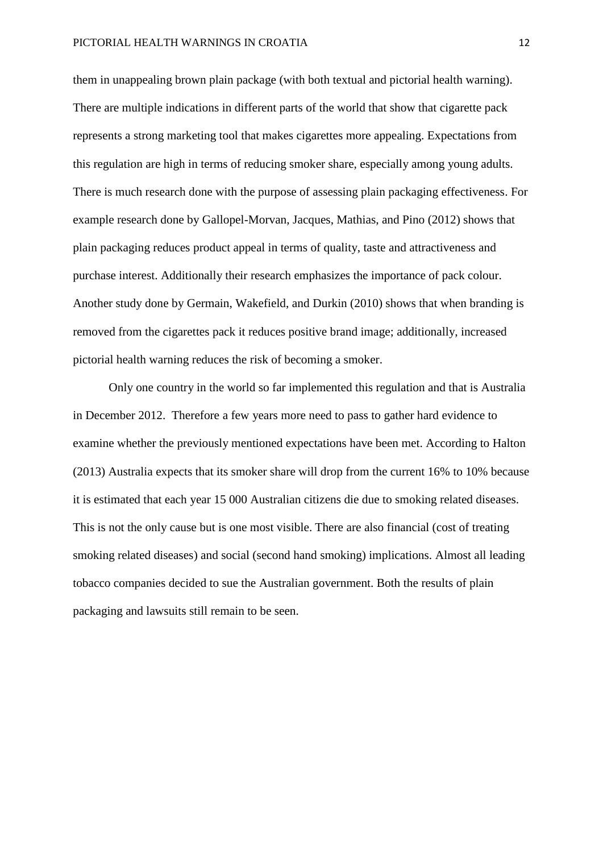them in unappealing brown plain package (with both textual and pictorial health warning). There are multiple indications in different parts of the world that show that cigarette pack represents a strong marketing tool that makes cigarettes more appealing. Expectations from this regulation are high in terms of reducing smoker share, especially among young adults. There is much research done with the purpose of assessing plain packaging effectiveness. For example research done by Gallopel-Morvan, Jacques, Mathias, and Pino (2012) shows that plain packaging reduces product appeal in terms of quality, taste and attractiveness and purchase interest. Additionally their research emphasizes the importance of pack colour. Another study done by Germain, Wakefield, and Durkin (2010) shows that when branding is removed from the cigarettes pack it reduces positive brand image; additionally, increased pictorial health warning reduces the risk of becoming a smoker.

Only one country in the world so far implemented this regulation and that is Australia in December 2012. Therefore a few years more need to pass to gather hard evidence to examine whether the previously mentioned expectations have been met. According to Halton (2013) Australia expects that its smoker share will drop from the current 16% to 10% because it is estimated that each year 15 000 Australian citizens die due to smoking related diseases. This is not the only cause but is one most visible. There are also financial (cost of treating smoking related diseases) and social (second hand smoking) implications. Almost all leading tobacco companies decided to sue the Australian government. Both the results of plain packaging and lawsuits still remain to be seen.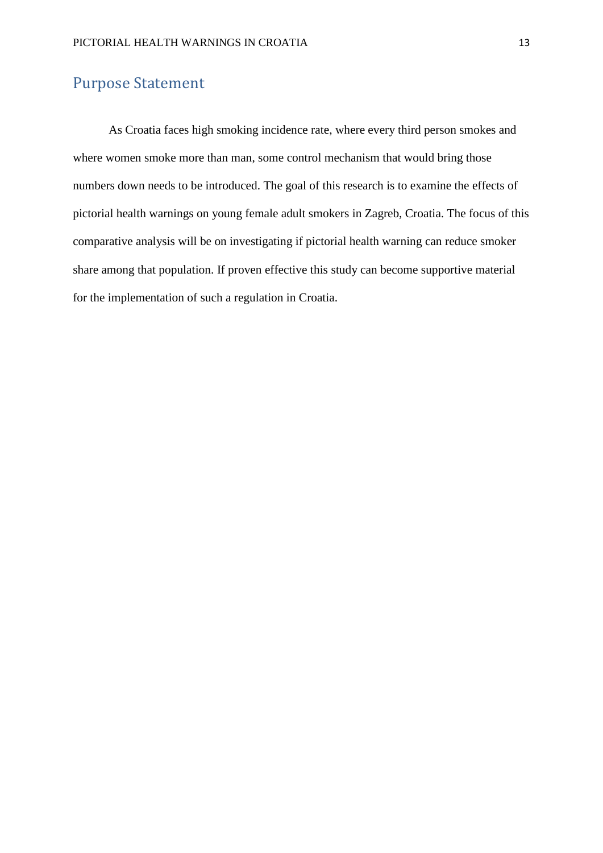#### <span id="page-13-0"></span>Purpose Statement

As Croatia faces high smoking incidence rate, where every third person smokes and where women smoke more than man, some control mechanism that would bring those numbers down needs to be introduced. The goal of this research is to examine the effects of pictorial health warnings on young female adult smokers in Zagreb, Croatia. The focus of this comparative analysis will be on investigating if pictorial health warning can reduce smoker share among that population. If proven effective this study can become supportive material for the implementation of such a regulation in Croatia.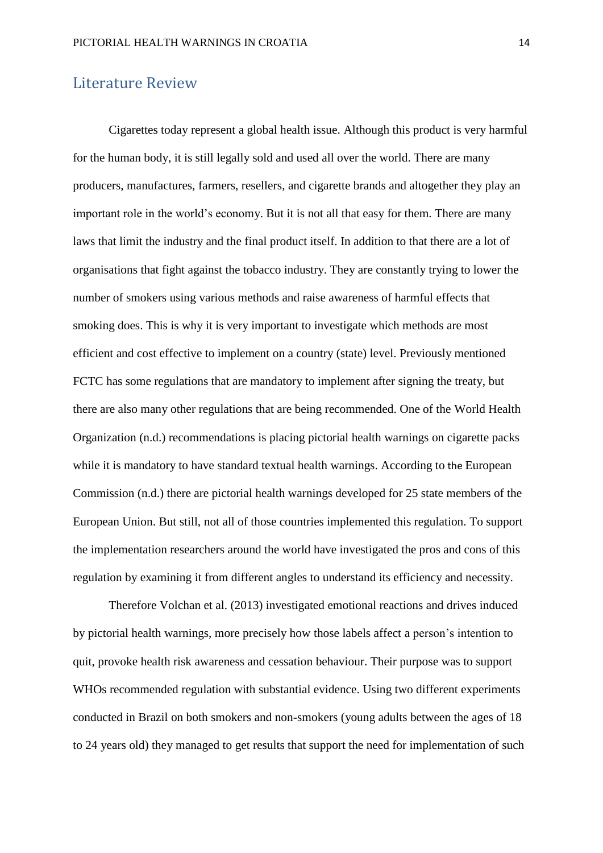#### <span id="page-14-0"></span>Literature Review

Cigarettes today represent a global health issue. Although this product is very harmful for the human body, it is still legally sold and used all over the world. There are many producers, manufactures, farmers, resellers, and cigarette brands and altogether they play an important role in the world's economy. But it is not all that easy for them. There are many laws that limit the industry and the final product itself. In addition to that there are a lot of organisations that fight against the tobacco industry. They are constantly trying to lower the number of smokers using various methods and raise awareness of harmful effects that smoking does. This is why it is very important to investigate which methods are most efficient and cost effective to implement on a country (state) level. Previously mentioned FCTC has some regulations that are mandatory to implement after signing the treaty, but there are also many other regulations that are being recommended. One of the World Health Organization (n.d.) recommendations is placing pictorial health warnings on cigarette packs while it is mandatory to have standard textual health warnings. According to the European Commission (n.d.) there are pictorial health warnings developed for 25 state members of the European Union. But still, not all of those countries implemented this regulation. To support the implementation researchers around the world have investigated the pros and cons of this regulation by examining it from different angles to understand its efficiency and necessity.

Therefore Volchan et al. (2013) investigated emotional reactions and drives induced by pictorial health warnings, more precisely how those labels affect a person's intention to quit, provoke health risk awareness and cessation behaviour. Their purpose was to support WHOs recommended regulation with substantial evidence. Using two different experiments conducted in Brazil on both smokers and non-smokers (young adults between the ages of 18 to 24 years old) they managed to get results that support the need for implementation of such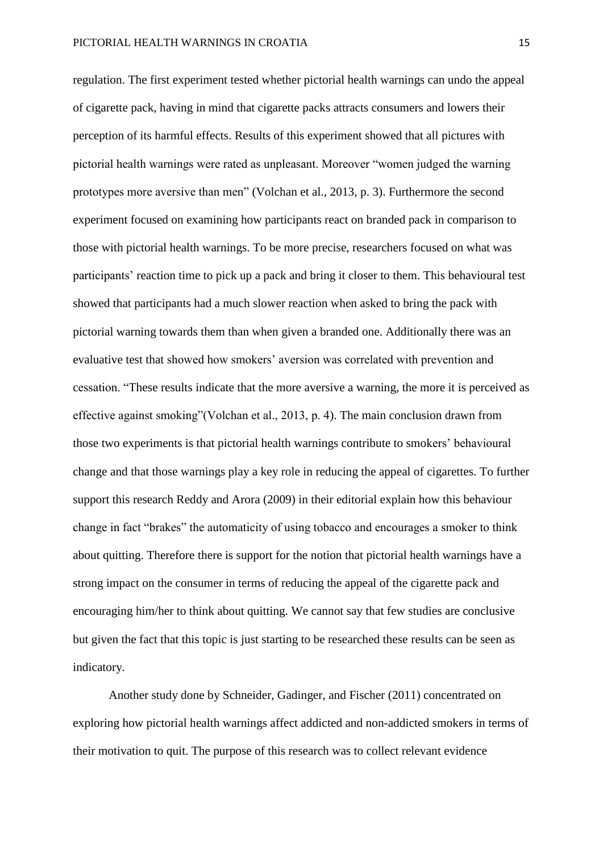regulation. The first experiment tested whether pictorial health warnings can undo the appeal of cigarette pack, having in mind that cigarette packs attracts consumers and lowers their perception of its harmful effects. Results of this experiment showed that all pictures with pictorial health warnings were rated as unpleasant. Moreover "women judged the warning prototypes more aversive than men" (Volchan et al., 2013, p. 3). Furthermore the second experiment focused on examining how participants react on branded pack in comparison to those with pictorial health warnings. To be more precise, researchers focused on what was participants' reaction time to pick up a pack and bring it closer to them. This behavioural test showed that participants had a much slower reaction when asked to bring the pack with pictorial warning towards them than when given a branded one. Additionally there was an evaluative test that showed how smokers' aversion was correlated with prevention and cessation. "These results indicate that the more aversive a warning, the more it is perceived as effective against smoking"(Volchan et al., 2013, p. 4). The main conclusion drawn from those two experiments is that pictorial health warnings contribute to smokers' behavioural change and that those warnings play a key role in reducing the appeal of cigarettes. To further support this research Reddy and Arora (2009) in their editorial explain how this behaviour change in fact "brakes" the automaticity of using tobacco and encourages a smoker to think about quitting. Therefore there is support for the notion that pictorial health warnings have a strong impact on the consumer in terms of reducing the appeal of the cigarette pack and encouraging him/her to think about quitting. We cannot say that few studies are conclusive but given the fact that this topic is just starting to be researched these results can be seen as indicatory.

Another study done by Schneider, Gadinger, and Fischer (2011) concentrated on exploring how pictorial health warnings affect addicted and non-addicted smokers in terms of their motivation to quit. The purpose of this research was to collect relevant evidence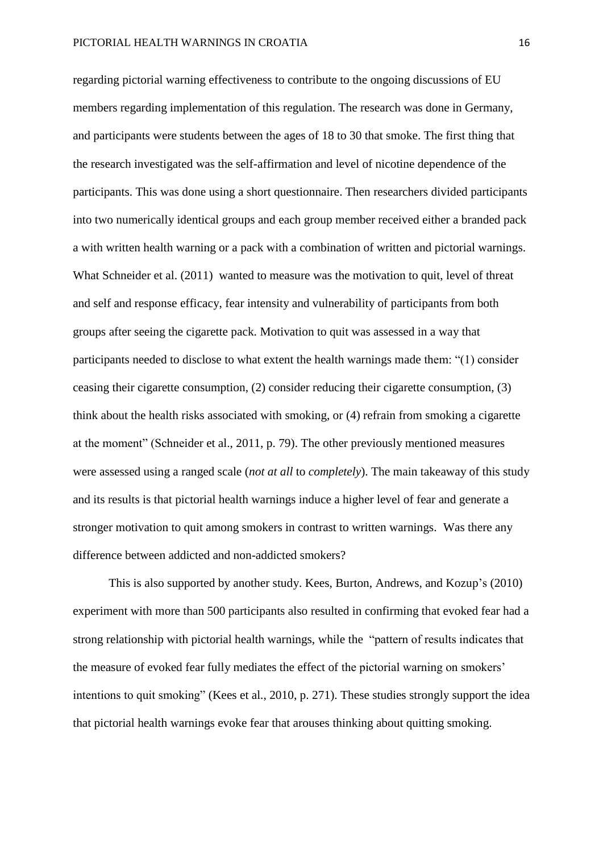regarding pictorial warning effectiveness to contribute to the ongoing discussions of EU members regarding implementation of this regulation. The research was done in Germany, and participants were students between the ages of 18 to 30 that smoke. The first thing that the research investigated was the self-affirmation and level of nicotine dependence of the participants. This was done using a short questionnaire. Then researchers divided participants into two numerically identical groups and each group member received either a branded pack a with written health warning or a pack with a combination of written and pictorial warnings. What Schneider et al. (2011) wanted to measure was the motivation to quit, level of threat and self and response efficacy, fear intensity and vulnerability of participants from both groups after seeing the cigarette pack. Motivation to quit was assessed in a way that participants needed to disclose to what extent the health warnings made them: "(1) consider ceasing their cigarette consumption, (2) consider reducing their cigarette consumption, (3) think about the health risks associated with smoking, or (4) refrain from smoking a cigarette at the moment" (Schneider et al., 2011, p. 79). The other previously mentioned measures were assessed using a ranged scale (*not at all* to *completely*). The main takeaway of this study and its results is that pictorial health warnings induce a higher level of fear and generate a stronger motivation to quit among smokers in contrast to written warnings. Was there any difference between addicted and non-addicted smokers?

This is also supported by another study. Kees, Burton, Andrews, and Kozup's (2010) experiment with more than 500 participants also resulted in confirming that evoked fear had a strong relationship with pictorial health warnings, while the "pattern of results indicates that the measure of evoked fear fully mediates the effect of the pictorial warning on smokers' intentions to quit smoking" (Kees et al., 2010, p. 271). These studies strongly support the idea that pictorial health warnings evoke fear that arouses thinking about quitting smoking.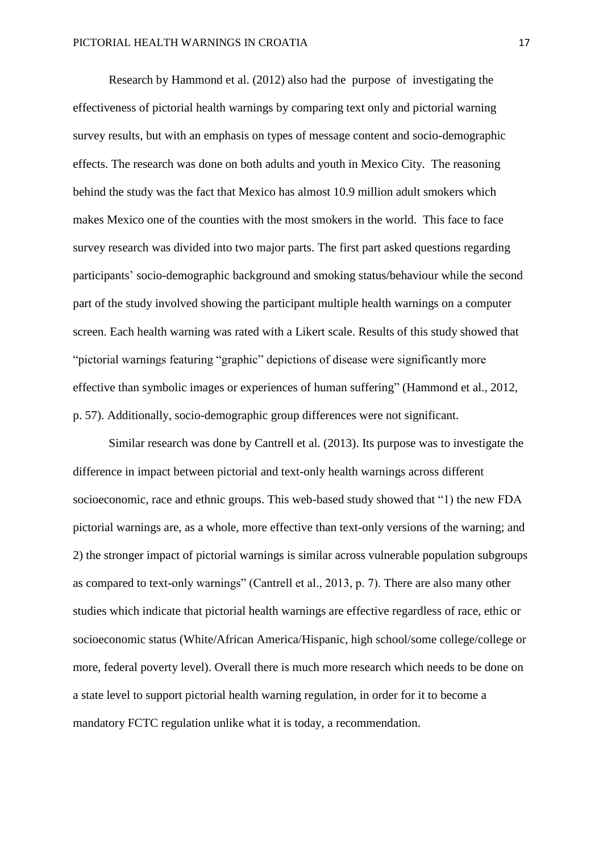Research by Hammond et al. (2012) also had the purpose of investigating the effectiveness of pictorial health warnings by comparing text only and pictorial warning survey results, but with an emphasis on types of message content and socio-demographic effects. The research was done on both adults and youth in Mexico City. The reasoning behind the study was the fact that Mexico has almost 10.9 million adult smokers which makes Mexico one of the counties with the most smokers in the world. This face to face survey research was divided into two major parts. The first part asked questions regarding participants' socio-demographic background and smoking status/behaviour while the second part of the study involved showing the participant multiple health warnings on a computer screen. Each health warning was rated with a Likert scale. Results of this study showed that "pictorial warnings featuring "graphic" depictions of disease were significantly more effective than symbolic images or experiences of human suffering" (Hammond et al., 2012, p. 57). Additionally, socio-demographic group differences were not significant.

Similar research was done by Cantrell et al. (2013). Its purpose was to investigate the difference in impact between pictorial and text-only health warnings across different socioeconomic, race and ethnic groups. This web-based study showed that "1) the new FDA pictorial warnings are, as a whole, more effective than text-only versions of the warning; and 2) the stronger impact of pictorial warnings is similar across vulnerable population subgroups as compared to text-only warnings" (Cantrell et al., 2013, p. 7). There are also many other studies which indicate that pictorial health warnings are effective regardless of race, ethic or socioeconomic status (White/African America/Hispanic, high school/some college/college or more, federal poverty level). Overall there is much more research which needs to be done on a state level to support pictorial health warning regulation, in order for it to become a mandatory FCTC regulation unlike what it is today, a recommendation.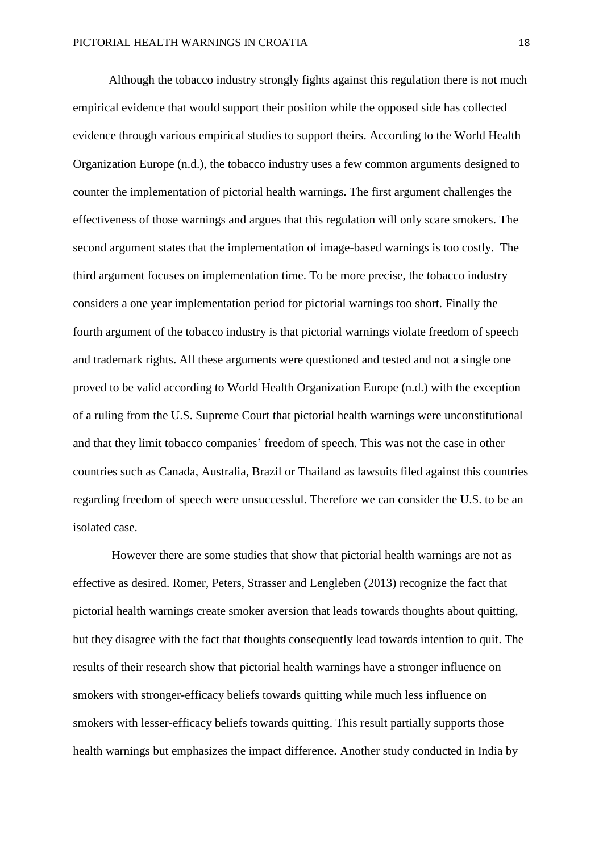Although the tobacco industry strongly fights against this regulation there is not much empirical evidence that would support their position while the opposed side has collected evidence through various empirical studies to support theirs. According to the World Health Organization Europe (n.d.), the tobacco industry uses a few common arguments designed to counter the implementation of pictorial health warnings. The first argument challenges the effectiveness of those warnings and argues that this regulation will only scare smokers. The second argument states that the implementation of image-based warnings is too costly. The third argument focuses on implementation time. To be more precise, the tobacco industry considers a one year implementation period for pictorial warnings too short. Finally the fourth argument of the tobacco industry is that pictorial warnings violate freedom of speech and trademark rights. All these arguments were questioned and tested and not a single one proved to be valid according to World Health Organization Europe (n.d.) with the exception of a ruling from the U.S. Supreme Court that pictorial health warnings were unconstitutional and that they limit tobacco companies' freedom of speech. This was not the case in other countries such as Canada, Australia, Brazil or Thailand as lawsuits filed against this countries regarding freedom of speech were unsuccessful. Therefore we can consider the U.S. to be an isolated case.

However there are some studies that show that pictorial health warnings are not as effective as desired. Romer, Peters, Strasser and Lengleben (2013) recognize the fact that pictorial health warnings create smoker aversion that leads towards thoughts about quitting, but they disagree with the fact that thoughts consequently lead towards intention to quit. The results of their research show that pictorial health warnings have a stronger influence on smokers with stronger-efficacy beliefs towards quitting while much less influence on smokers with lesser-efficacy beliefs towards quitting. This result partially supports those health warnings but emphasizes the impact difference. Another study conducted in India by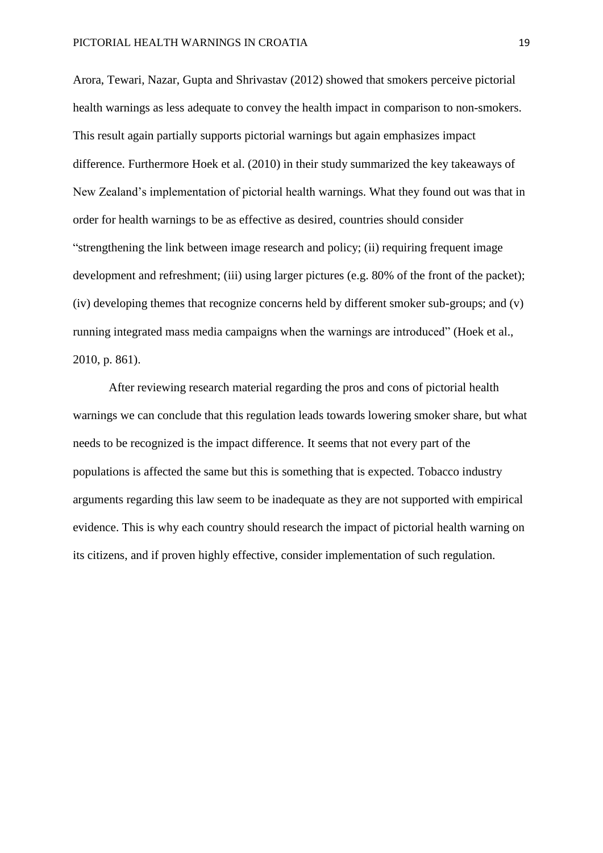Arora, Tewari, Nazar, Gupta and Shrivastav (2012) showed that smokers perceive pictorial health warnings as less adequate to convey the health impact in comparison to non-smokers. This result again partially supports pictorial warnings but again emphasizes impact difference. Furthermore Hoek et al. (2010) in their study summarized the key takeaways of New Zealand's implementation of pictorial health warnings. What they found out was that in order for health warnings to be as effective as desired, countries should consider "strengthening the link between image research and policy; (ii) requiring frequent image development and refreshment; (iii) using larger pictures (e.g. 80% of the front of the packet); (iv) developing themes that recognize concerns held by different smoker sub-groups; and (v) running integrated mass media campaigns when the warnings are introduced" (Hoek et al., 2010, p. 861).

After reviewing research material regarding the pros and cons of pictorial health warnings we can conclude that this regulation leads towards lowering smoker share, but what needs to be recognized is the impact difference. It seems that not every part of the populations is affected the same but this is something that is expected. Tobacco industry arguments regarding this law seem to be inadequate as they are not supported with empirical evidence. This is why each country should research the impact of pictorial health warning on its citizens, and if proven highly effective, consider implementation of such regulation.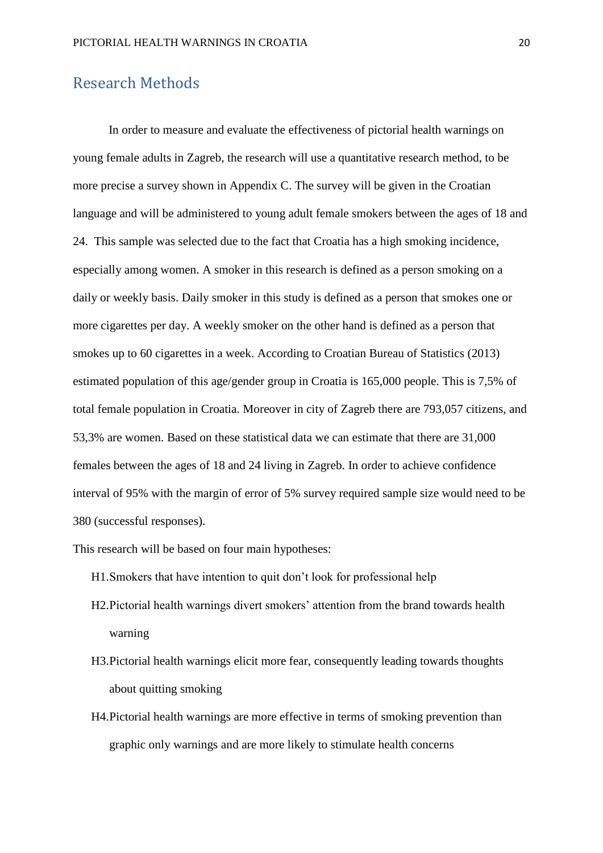#### <span id="page-20-0"></span>Research Methods

In order to measure and evaluate the effectiveness of pictorial health warnings on young female adults in Zagreb, the research will use a quantitative research method, to be more precise a survey shown in Appendix C. The survey will be given in the Croatian language and will be administered to young adult female smokers between the ages of 18 and 24. This sample was selected due to the fact that Croatia has a high smoking incidence, especially among women. A smoker in this research is defined as a person smoking on a daily or weekly basis. Daily smoker in this study is defined as a person that smokes one or more cigarettes per day. A weekly smoker on the other hand is defined as a person that smokes up to 60 cigarettes in a week. According to Croatian Bureau of Statistics (2013) estimated population of this age/gender group in Croatia is 165,000 people. This is 7,5% of total female population in Croatia. Moreover in city of Zagreb there are 793,057 citizens, and 53,3% are women. Based on these statistical data we can estimate that there are 31,000 females between the ages of 18 and 24 living in Zagreb. In order to achieve confidence interval of 95% with the margin of error of 5% survey required sample size would need to be 380 (successful responses).

- This research will be based on four main hypotheses:
	- H1.Smokers that have intention to quit don't look for professional help
	- H2.Pictorial health warnings divert smokers' attention from the brand towards health warning
	- H3.Pictorial health warnings elicit more fear, consequently leading towards thoughts about quitting smoking
	- H4.Pictorial health warnings are more effective in terms of smoking prevention than graphic only warnings and are more likely to stimulate health concerns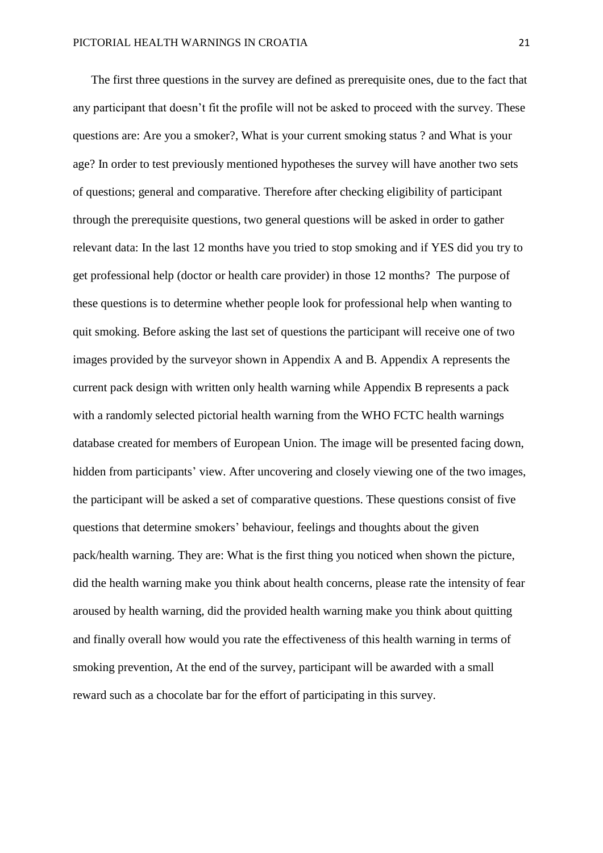The first three questions in the survey are defined as prerequisite ones, due to the fact that any participant that doesn't fit the profile will not be asked to proceed with the survey. These questions are: Are you a smoker?, What is your current smoking status ? and What is your age? In order to test previously mentioned hypotheses the survey will have another two sets of questions; general and comparative. Therefore after checking eligibility of participant through the prerequisite questions, two general questions will be asked in order to gather relevant data: In the last 12 months have you tried to stop smoking and if YES did you try to get professional help (doctor or health care provider) in those 12 months? The purpose of these questions is to determine whether people look for professional help when wanting to quit smoking. Before asking the last set of questions the participant will receive one of two images provided by the surveyor shown in Appendix A and B. Appendix A represents the current pack design with written only health warning while Appendix B represents a pack with a randomly selected pictorial health warning from the WHO FCTC health warnings database created for members of European Union. The image will be presented facing down, hidden from participants' view. After uncovering and closely viewing one of the two images, the participant will be asked a set of comparative questions. These questions consist of five questions that determine smokers' behaviour, feelings and thoughts about the given pack/health warning. They are: What is the first thing you noticed when shown the picture, did the health warning make you think about health concerns, please rate the intensity of fear aroused by health warning, did the provided health warning make you think about quitting and finally overall how would you rate the effectiveness of this health warning in terms of smoking prevention, At the end of the survey, participant will be awarded with a small reward such as a chocolate bar for the effort of participating in this survey.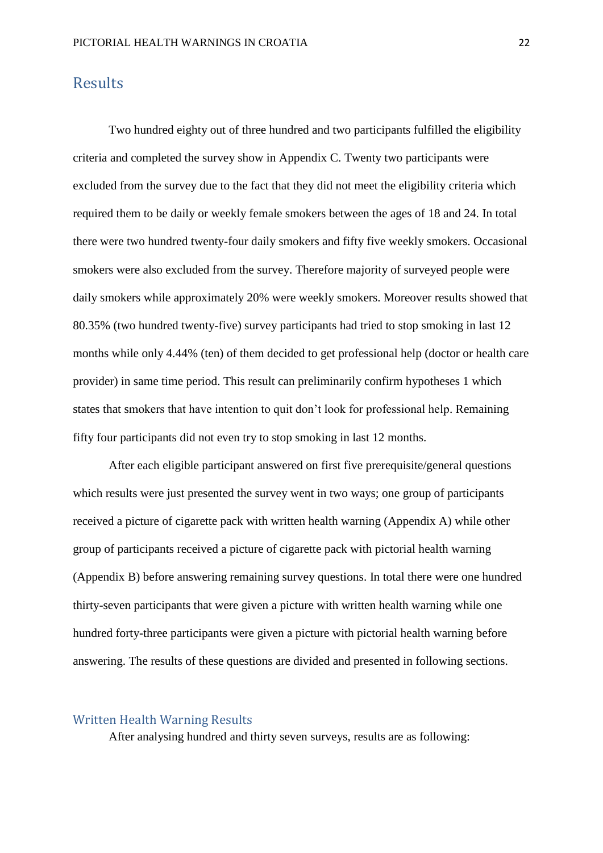#### <span id="page-22-0"></span>**Results**

Two hundred eighty out of three hundred and two participants fulfilled the eligibility criteria and completed the survey show in Appendix C. Twenty two participants were excluded from the survey due to the fact that they did not meet the eligibility criteria which required them to be daily or weekly female smokers between the ages of 18 and 24. In total there were two hundred twenty-four daily smokers and fifty five weekly smokers. Occasional smokers were also excluded from the survey. Therefore majority of surveyed people were daily smokers while approximately 20% were weekly smokers. Moreover results showed that 80.35% (two hundred twenty-five) survey participants had tried to stop smoking in last 12 months while only 4.44% (ten) of them decided to get professional help (doctor or health care provider) in same time period. This result can preliminarily confirm hypotheses 1 which states that smokers that have intention to quit don't look for professional help. Remaining fifty four participants did not even try to stop smoking in last 12 months.

After each eligible participant answered on first five prerequisite/general questions which results were just presented the survey went in two ways; one group of participants received a picture of cigarette pack with written health warning (Appendix A) while other group of participants received a picture of cigarette pack with pictorial health warning (Appendix B) before answering remaining survey questions. In total there were one hundred thirty-seven participants that were given a picture with written health warning while one hundred forty-three participants were given a picture with pictorial health warning before answering. The results of these questions are divided and presented in following sections.

#### <span id="page-22-1"></span>Written Health Warning Results

After analysing hundred and thirty seven surveys, results are as following: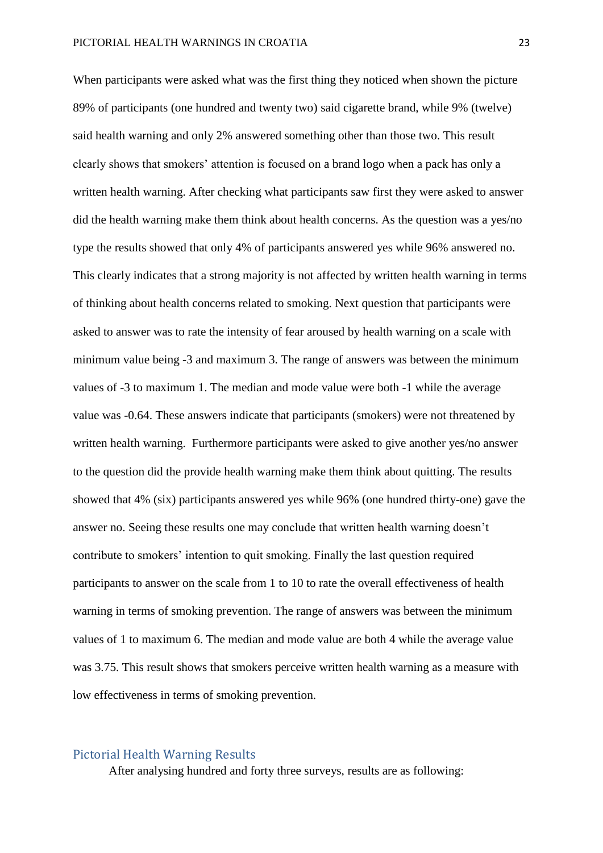When participants were asked what was the first thing they noticed when shown the picture 89% of participants (one hundred and twenty two) said cigarette brand, while 9% (twelve) said health warning and only 2% answered something other than those two. This result clearly shows that smokers' attention is focused on a brand logo when a pack has only a written health warning. After checking what participants saw first they were asked to answer did the health warning make them think about health concerns. As the question was a yes/no type the results showed that only 4% of participants answered yes while 96% answered no. This clearly indicates that a strong majority is not affected by written health warning in terms of thinking about health concerns related to smoking. Next question that participants were asked to answer was to rate the intensity of fear aroused by health warning on a scale with minimum value being -3 and maximum 3. The range of answers was between the minimum values of -3 to maximum 1. The median and mode value were both -1 while the average value was -0.64. These answers indicate that participants (smokers) were not threatened by written health warning. Furthermore participants were asked to give another yes/no answer to the question did the provide health warning make them think about quitting. The results showed that 4% (six) participants answered yes while 96% (one hundred thirty-one) gave the answer no. Seeing these results one may conclude that written health warning doesn't contribute to smokers' intention to quit smoking. Finally the last question required participants to answer on the scale from 1 to 10 to rate the overall effectiveness of health warning in terms of smoking prevention. The range of answers was between the minimum values of 1 to maximum 6. The median and mode value are both 4 while the average value was 3.75. This result shows that smokers perceive written health warning as a measure with low effectiveness in terms of smoking prevention.

#### <span id="page-23-0"></span>Pictorial Health Warning Results

After analysing hundred and forty three surveys, results are as following: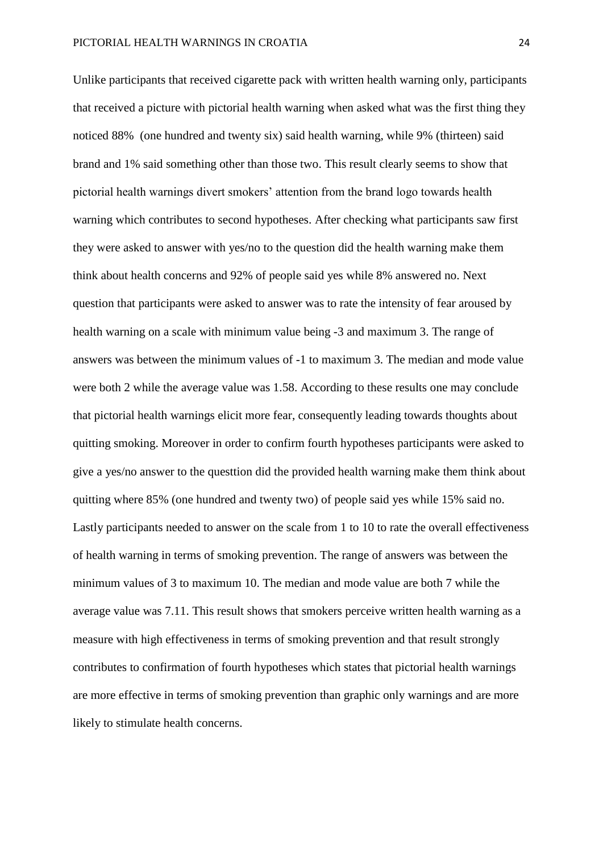Unlike participants that received cigarette pack with written health warning only, participants that received a picture with pictorial health warning when asked what was the first thing they noticed 88% (one hundred and twenty six) said health warning, while 9% (thirteen) said brand and 1% said something other than those two. This result clearly seems to show that pictorial health warnings divert smokers' attention from the brand logo towards health warning which contributes to second hypotheses. After checking what participants saw first they were asked to answer with yes/no to the question did the health warning make them think about health concerns and 92% of people said yes while 8% answered no. Next question that participants were asked to answer was to rate the intensity of fear aroused by health warning on a scale with minimum value being -3 and maximum 3. The range of answers was between the minimum values of -1 to maximum 3. The median and mode value were both 2 while the average value was 1.58. According to these results one may conclude that pictorial health warnings elicit more fear, consequently leading towards thoughts about quitting smoking. Moreover in order to confirm fourth hypotheses participants were asked to give a yes/no answer to the questtion did the provided health warning make them think about quitting where 85% (one hundred and twenty two) of people said yes while 15% said no. Lastly participants needed to answer on the scale from 1 to 10 to rate the overall effectiveness of health warning in terms of smoking prevention. The range of answers was between the minimum values of 3 to maximum 10. The median and mode value are both 7 while the average value was 7.11. This result shows that smokers perceive written health warning as a measure with high effectiveness in terms of smoking prevention and that result strongly contributes to confirmation of fourth hypotheses which states that pictorial health warnings are more effective in terms of smoking prevention than graphic only warnings and are more likely to stimulate health concerns.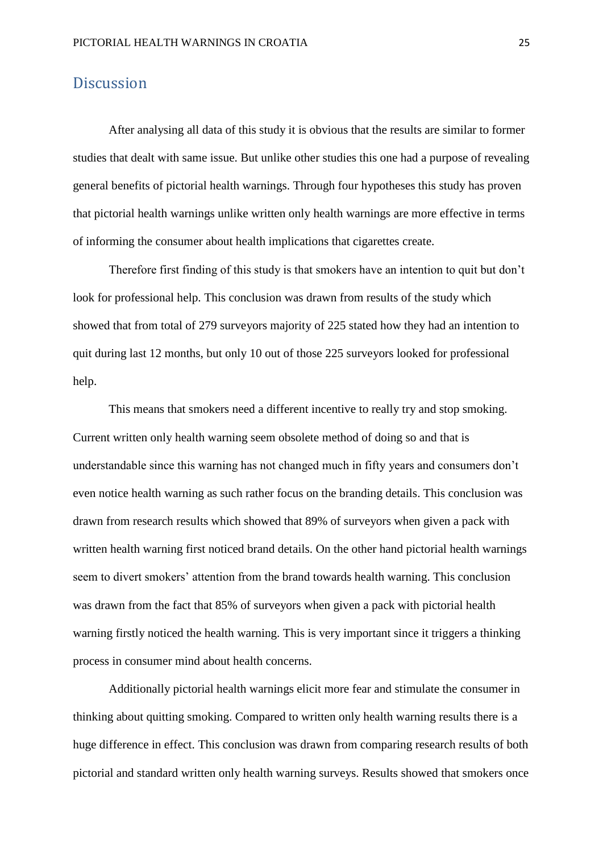#### <span id="page-25-0"></span>**Discussion**

After analysing all data of this study it is obvious that the results are similar to former studies that dealt with same issue. But unlike other studies this one had a purpose of revealing general benefits of pictorial health warnings. Through four hypotheses this study has proven that pictorial health warnings unlike written only health warnings are more effective in terms of informing the consumer about health implications that cigarettes create.

Therefore first finding of this study is that smokers have an intention to quit but don't look for professional help. This conclusion was drawn from results of the study which showed that from total of 279 surveyors majority of 225 stated how they had an intention to quit during last 12 months, but only 10 out of those 225 surveyors looked for professional help.

This means that smokers need a different incentive to really try and stop smoking. Current written only health warning seem obsolete method of doing so and that is understandable since this warning has not changed much in fifty years and consumers don't even notice health warning as such rather focus on the branding details. This conclusion was drawn from research results which showed that 89% of surveyors when given a pack with written health warning first noticed brand details. On the other hand pictorial health warnings seem to divert smokers' attention from the brand towards health warning. This conclusion was drawn from the fact that 85% of surveyors when given a pack with pictorial health warning firstly noticed the health warning. This is very important since it triggers a thinking process in consumer mind about health concerns.

Additionally pictorial health warnings elicit more fear and stimulate the consumer in thinking about quitting smoking. Compared to written only health warning results there is a huge difference in effect. This conclusion was drawn from comparing research results of both pictorial and standard written only health warning surveys. Results showed that smokers once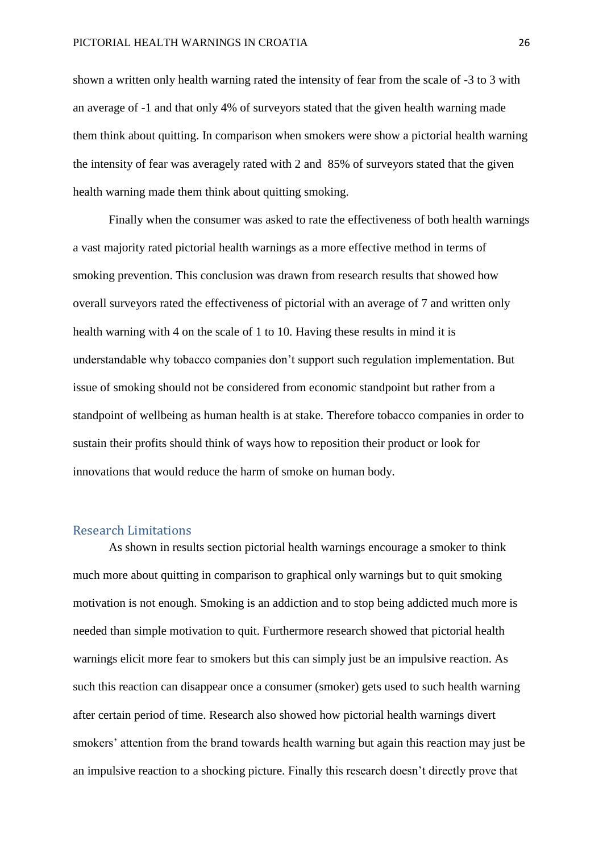shown a written only health warning rated the intensity of fear from the scale of -3 to 3 with an average of -1 and that only 4% of surveyors stated that the given health warning made them think about quitting. In comparison when smokers were show a pictorial health warning the intensity of fear was averagely rated with 2 and 85% of surveyors stated that the given health warning made them think about quitting smoking.

Finally when the consumer was asked to rate the effectiveness of both health warnings a vast majority rated pictorial health warnings as a more effective method in terms of smoking prevention. This conclusion was drawn from research results that showed how overall surveyors rated the effectiveness of pictorial with an average of 7 and written only health warning with 4 on the scale of 1 to 10. Having these results in mind it is understandable why tobacco companies don't support such regulation implementation. But issue of smoking should not be considered from economic standpoint but rather from a standpoint of wellbeing as human health is at stake. Therefore tobacco companies in order to sustain their profits should think of ways how to reposition their product or look for innovations that would reduce the harm of smoke on human body.

#### <span id="page-26-0"></span>Research Limitations

As shown in results section pictorial health warnings encourage a smoker to think much more about quitting in comparison to graphical only warnings but to quit smoking motivation is not enough. Smoking is an addiction and to stop being addicted much more is needed than simple motivation to quit. Furthermore research showed that pictorial health warnings elicit more fear to smokers but this can simply just be an impulsive reaction. As such this reaction can disappear once a consumer (smoker) gets used to such health warning after certain period of time. Research also showed how pictorial health warnings divert smokers' attention from the brand towards health warning but again this reaction may just be an impulsive reaction to a shocking picture. Finally this research doesn't directly prove that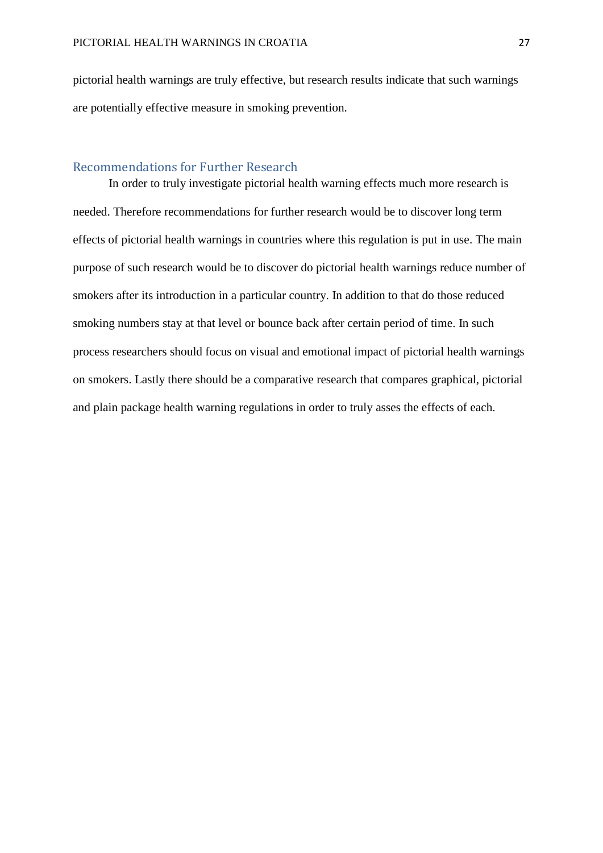pictorial health warnings are truly effective, but research results indicate that such warnings are potentially effective measure in smoking prevention.

#### <span id="page-27-0"></span>Recommendations for Further Research

In order to truly investigate pictorial health warning effects much more research is needed. Therefore recommendations for further research would be to discover long term effects of pictorial health warnings in countries where this regulation is put in use. The main purpose of such research would be to discover do pictorial health warnings reduce number of smokers after its introduction in a particular country. In addition to that do those reduced smoking numbers stay at that level or bounce back after certain period of time. In such process researchers should focus on visual and emotional impact of pictorial health warnings on smokers. Lastly there should be a comparative research that compares graphical, pictorial and plain package health warning regulations in order to truly asses the effects of each.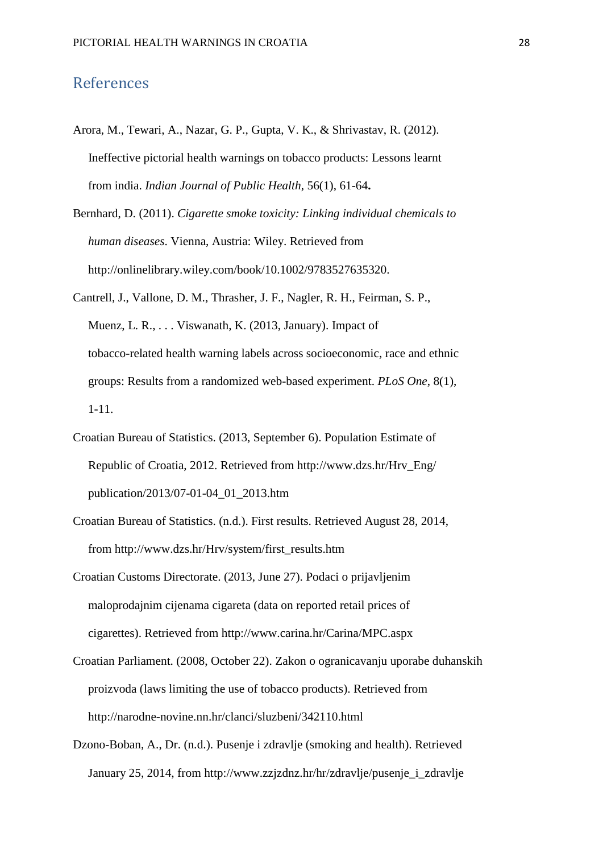#### <span id="page-28-0"></span>References

- Arora, M., Tewari, A., Nazar, G. P., Gupta, V. K., & Shrivastav, R. (2012). Ineffective pictorial health warnings on tobacco products: Lessons learnt from india. *Indian Journal of Public Health*, 56(1), 61-64**.**
- Bernhard, D. (2011). *Cigarette smoke toxicity: Linking individual chemicals to human diseases*. Vienna, Austria: Wiley. Retrieved from http://onlinelibrary.wiley.com/book/10.1002/9783527635320.
- Cantrell, J., Vallone, D. M., Thrasher, J. F., Nagler, R. H., Feirman, S. P., Muenz, L. R., . . . Viswanath, K. (2013, January). Impact of tobacco-related health warning labels across socioeconomic, race and ethnic groups: Results from a randomized web-based experiment. *PLoS One*, 8(1), 1-11.
- Croatian Bureau of Statistics. (2013, September 6). Population Estimate of Republic of Croatia, 2012. Retrieved from http://www.dzs.hr/Hrv\_Eng/ publication/2013/07-01-04\_01\_2013.htm
- Croatian Bureau of Statistics. (n.d.). First results. Retrieved August 28, 2014, from http://www.dzs.hr/Hrv/system/first\_results.htm
- Croatian Customs Directorate. (2013, June 27). Podaci o prijavljenim maloprodajnim cijenama cigareta (data on reported retail prices of cigarettes). Retrieved from http://www.carina.hr/Carina/MPC.aspx
- Croatian Parliament. (2008, October 22). Zakon o ogranicavanju uporabe duhanskih proizvoda (laws limiting the use of tobacco products). Retrieved from http://narodne-novine.nn.hr/clanci/sluzbeni/342110.html
- Dzono-Boban, A., Dr. (n.d.). Pusenje i zdravlje (smoking and health). Retrieved January 25, 2014, from http://www.zzjzdnz.hr/hr/zdravlje/pusenje\_i\_zdravlje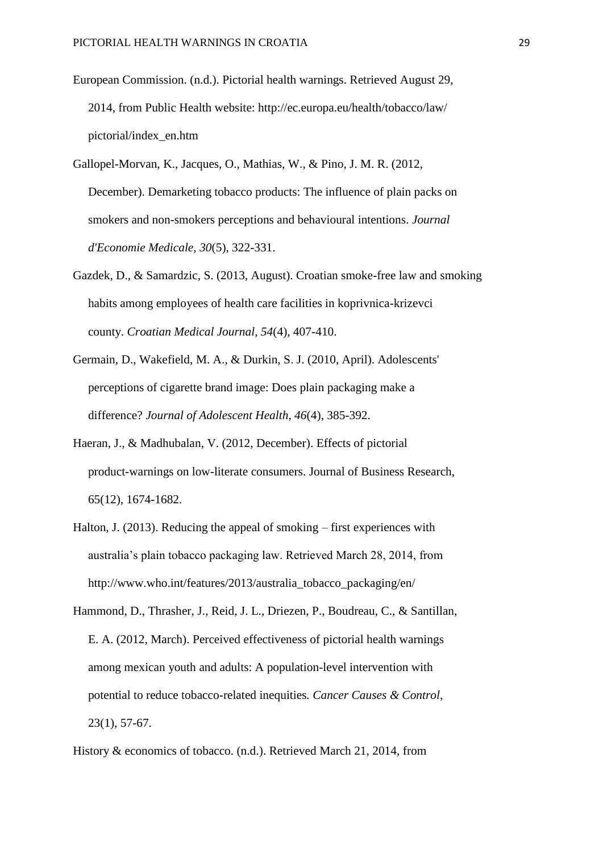- European Commission. (n.d.). Pictorial health warnings. Retrieved August 29, 2014, from Public Health website: http://ec.europa.eu/health/tobacco/law/ pictorial/index\_en.htm
- Gallopel-Morvan, K., Jacques, O., Mathias, W., & Pino, J. M. R. (2012, December). Demarketing tobacco products: The influence of plain packs on smokers and non-smokers perceptions and behavioural intentions. *Journal d'Economie Medicale, 30*(5), 322-331.
- Gazdek, D., & Samardzic, S. (2013, August). Croatian smoke-free law and smoking habits among employees of health care facilities in koprivnica-krizevci county. *Croatian Medical Journal, 54*(4), 407-410.
- Germain, D., Wakefield, M. A., & Durkin, S. J. (2010, April). Adolescents' perceptions of cigarette brand image: Does plain packaging make a difference? *Journal of Adolescent Health, 46*(4), 385-392.
- Haeran, J., & Madhubalan, V. (2012, December). Effects of pictorial product-warnings on low-literate consumers. Journal of Business Research, 65(12), 1674-1682.
- Halton, J. (2013). Reducing the appeal of smoking first experiences with australia's plain tobacco packaging law. Retrieved March 28, 2014, from http://www.who.int/features/2013/australia\_tobacco\_packaging/en/
- Hammond, D., Thrasher, J., Reid, J. L., Driezen, P., Boudreau, C., & Santillan, E. A. (2012, March). Perceived effectiveness of pictorial health warnings among mexican youth and adults: A population-level intervention with potential to reduce tobacco-related inequities*. Cancer Causes & Control*, 23(1), 57-67.

History & economics of tobacco. (n.d.). Retrieved March 21, 2014, from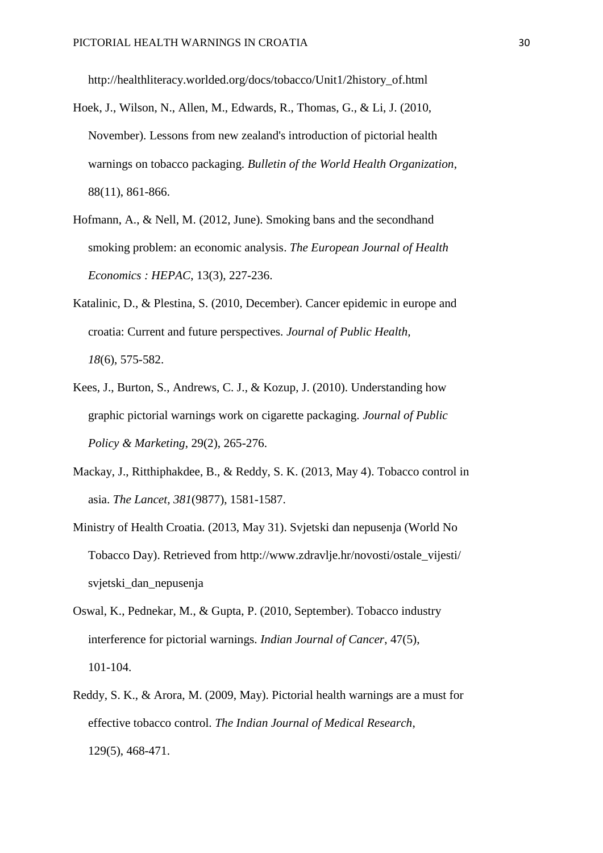http://healthliteracy.worlded.org/docs/tobacco/Unit1/2history\_of.html

- Hoek, J., Wilson, N., Allen, M., Edwards, R., Thomas, G., & Li, J. (2010, November). Lessons from new zealand's introduction of pictorial health warnings on tobacco packaging. *Bulletin of the World Health Organization*, 88(11), 861-866.
- Hofmann, A., & Nell, M. (2012, June). Smoking bans and the secondhand smoking problem: an economic analysis. *The European Journal of Health Economics : HEPAC*, 13(3), 227-236.
- Katalinic, D., & Plestina, S. (2010, December). Cancer epidemic in europe and croatia: Current and future perspectives. *Journal of Public Health, 18*(6), 575-582.
- Kees, J., Burton, S., Andrews, C. J., & Kozup, J. (2010). Understanding how graphic pictorial warnings work on cigarette packaging. *Journal of Public Policy & Marketing*, 29(2), 265-276.
- Mackay, J., Ritthiphakdee, B., & Reddy, S. K. (2013, May 4). Tobacco control in asia. *The Lancet, 381*(9877), 1581-1587.
- Ministry of Health Croatia. (2013, May 31). Svjetski dan nepusenja (World No Tobacco Day). Retrieved from http://www.zdravlje.hr/novosti/ostale\_vijesti/ svjetski\_dan\_nepusenja
- Oswal, K., Pednekar, M., & Gupta, P. (2010, September). Tobacco industry interference for pictorial warnings. *Indian Journal of Cancer*, 47(5), 101-104.
- Reddy, S. K., & Arora, M. (2009, May). Pictorial health warnings are a must for effective tobacco control. *The Indian Journal of Medical Research*, 129(5), 468-471.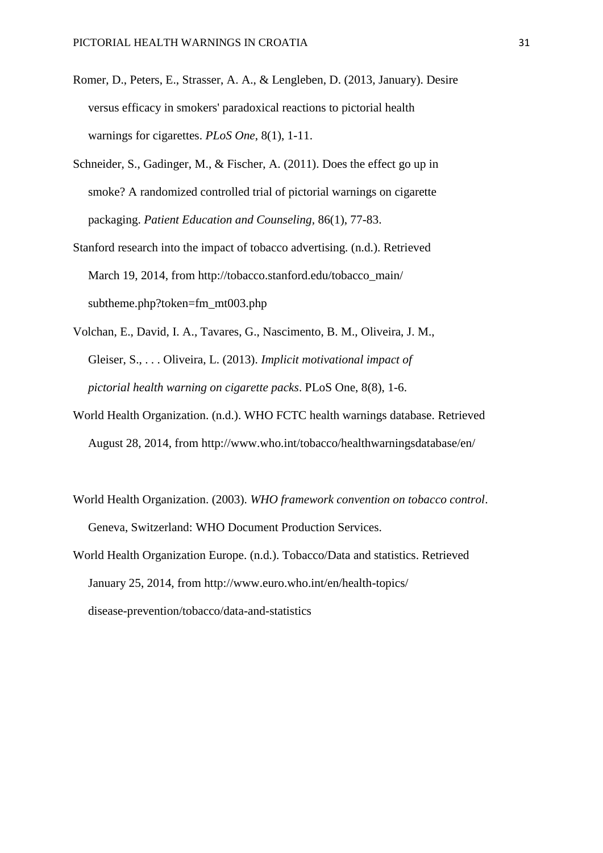- Romer, D., Peters, E., Strasser, A. A., & Lengleben, D. (2013, January). Desire versus efficacy in smokers' paradoxical reactions to pictorial health warnings for cigarettes. *PLoS One*, 8(1), 1-11.
- Schneider, S., Gadinger, M., & Fischer, A. (2011). Does the effect go up in smoke? A randomized controlled trial of pictorial warnings on cigarette packaging. *Patient Education and Counseling,* 86(1), 77-83.
- Stanford research into the impact of tobacco advertising. (n.d.). Retrieved March 19, 2014, from http://tobacco.stanford.edu/tobacco\_main/ subtheme.php?token=fm\_mt003.php
- Volchan, E., David, I. A., Tavares, G., Nascimento, B. M., Oliveira, J. M., Gleiser, S., . . . Oliveira, L. (2013). *Implicit motivational impact of pictorial health warning on cigarette packs*. PLoS One, 8(8), 1-6.
- World Health Organization. (n.d.). WHO FCTC health warnings database. Retrieved August 28, 2014, from http://www.who.int/tobacco/healthwarningsdatabase/en/
- World Health Organization. (2003). *WHO framework convention on tobacco control*. Geneva, Switzerland: WHO Document Production Services.
- World Health Organization Europe. (n.d.). Tobacco/Data and statistics. Retrieved January 25, 2014, from http://www.euro.who.int/en/health-topics/ disease-prevention/tobacco/data-and-statistics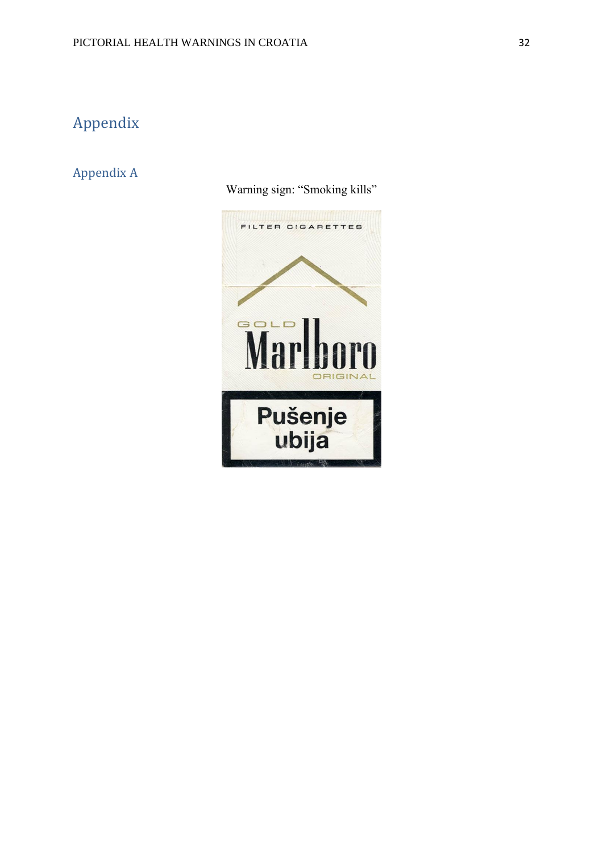## <span id="page-32-0"></span>Appendix

#### <span id="page-32-1"></span>Appendix A

Warning sign: "Smoking kills"

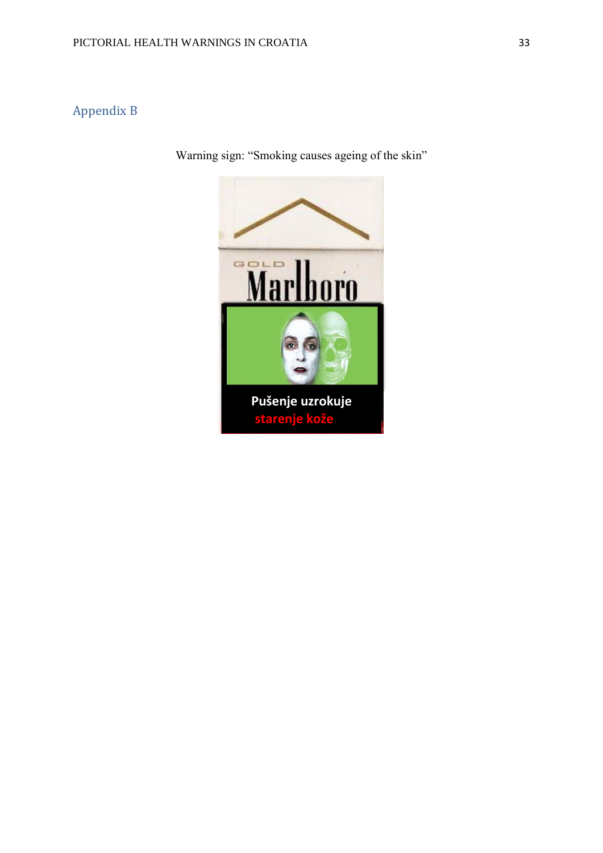## <span id="page-33-0"></span>Appendix B

Warning sign: "Smoking causes ageing of the skin"

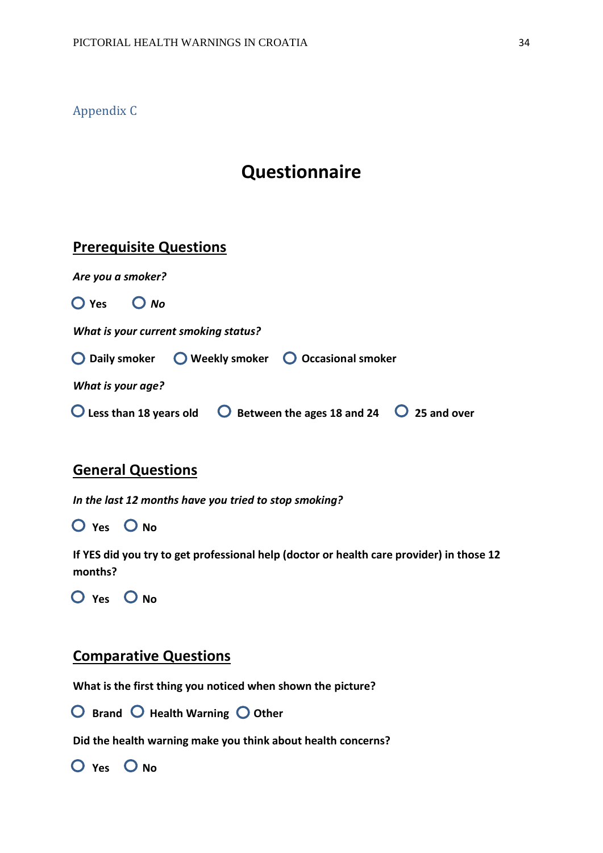<span id="page-34-0"></span>Appendix C

## **Questionnaire**

## **Prerequisite Questions**

| Are you a smoker?                                  |                                                                                                |
|----------------------------------------------------|------------------------------------------------------------------------------------------------|
| $O$ Yes $O$ No                                     |                                                                                                |
| What is your current smoking status?               |                                                                                                |
| ◯ Daily smoker ◯ Weekly smoker ◯ Occasional smoker |                                                                                                |
| What is your age?                                  |                                                                                                |
|                                                    | $\bigcirc$ Less than 18 years old $\bigcirc$ Between the ages 18 and 24 $\bigcirc$ 25 and over |

### **General Questions**

*In the last 12 months have you tried to stop smoking?* 

 $O$  Yes  $O$  No

**If YES did you try to get professional help (doctor or health care provider) in those 12 months?**

**O** Yes O No

#### **Comparative Questions**

**What is the first thing you noticed when shown the picture?**

**O** Brand O Health Warning O Other

**Did the health warning make you think about health concerns?**

 $O$  Yes  $O$  No